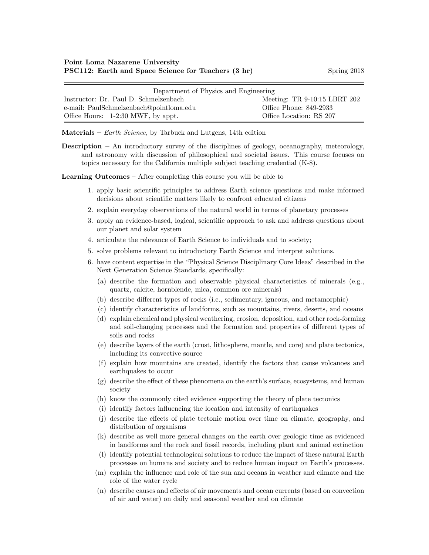| Department of Physics and Engineering   |                              |  |
|-----------------------------------------|------------------------------|--|
| Instructor: Dr. Paul D. Schmelzenbach   | Meeting: TR 9-10:15 LBRT 202 |  |
| e-mail: PaulSchmelzenbach@pointloma.edu | Office Phone: 849-2933       |  |
| Office Hours: 1-2:30 MWF, by appt.      | Office Location: RS 207      |  |

Materials –  $Earth\,Science$ , by Tarbuck and Lutgens, 14th edition

Description – An introductory survey of the disciplines of geology, oceanography, meteorology, and astronomy with discussion of philosophical and societal issues. This course focuses on topics necessary for the California multiple subject teaching credential (K-8).

Learning Outcomes – After completing this course you will be able to

- 1. apply basic scientific principles to address Earth science questions and make informed decisions about scientific matters likely to confront educated citizens
- 2. explain everyday observations of the natural world in terms of planetary processes
- 3. apply an evidence-based, logical, scientific approach to ask and address questions about our planet and solar system
- 4. articulate the relevance of Earth Science to individuals and to society;
- 5. solve problems relevant to introductory Earth Science and interpret solutions.
- 6. have content expertise in the "Physical Science Disciplinary Core Ideas" described in the Next Generation Science Standards, specifically:
	- (a) describe the formation and observable physical characteristics of minerals (e.g., quartz, calcite, hornblende, mica, common ore minerals)
	- (b) describe different types of rocks (i.e., sedimentary, igneous, and metamorphic)
	- (c) identify characteristics of landforms, such as mountains, rivers, deserts, and oceans
	- (d) explain chemical and physical weathering, erosion, deposition, and other rock-forming and soil-changing processes and the formation and properties of different types of soils and rocks
	- (e) describe layers of the earth (crust, lithosphere, mantle, and core) and plate tectonics, including its convective source
	- (f) explain how mountains are created, identify the factors that cause volcanoes and earthquakes to occur
	- (g) describe the effect of these phenomena on the earth's surface, ecosystems, and human society
	- (h) know the commonly cited evidence supporting the theory of plate tectonics
	- (i) identify factors influencing the location and intensity of earthquakes
	- (j) describe the effects of plate tectonic motion over time on climate, geography, and distribution of organisms
	- (k) describe as well more general changes on the earth over geologic time as evidenced in landforms and the rock and fossil records, including plant and animal extinction
	- (l) identify potential technological solutions to reduce the impact of these natural Earth processes on humans and society and to reduce human impact on Earth's processes.
	- (m) explain the influence and role of the sun and oceans in weather and climate and the role of the water cycle
	- (n) describe causes and effects of air movements and ocean currents (based on convection of air and water) on daily and seasonal weather and on climate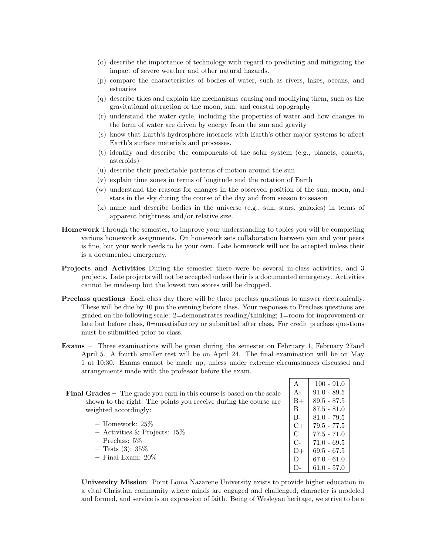- (o) describe the importance of technology with regard to predicting and mitigating the impact of severe weather and other natural hazards.
- (p) compare the characteristics of bodies of water, such as rivers, lakes, oceans, and estuaries
- (q) describe tides and explain the mechanisms causing and modifying them, such as the gravitational attraction of the moon, sun, and coastal topography
- (r) understand the water cycle, including the properties of water and how changes in the form of water are driven by energy from the sun and gravity
- (s) know that Earth's hydrosphere interacts with Earth's other major systems to affect Earth's surface materials and processes.
- (t) identify and describe the components of the solar system (e.g., planets, comets, asteroids)
- (u) describe their predictable patterns of motion around the sun
- (v) explain time zones in terms of longitude and the rotation of Earth
- (w) understand the reasons for changes in the observed position of the sun, moon, and stars in the sky during the course of the day and from season to season
- (x) name and describe bodies in the universe (e.g., sun, stars, galaxies) in terms of apparent brightness and/or relative size.
- Homework Through the semester, to improve your understanding to topics you will be completing various homework assignments. On homework sets collaboration between you and your peers is fine, but your work needs to be your own. Late homework will not be accepted unless their is a documented emergency.
- Projects and Activities During the semester there were be several in-class activities, and 3 projects. Late projects will not be accepted unless their is a documented emergency. Activities cannot be made-up but the lowest two scores will be dropped.
- Preclass questions Each class day there will be three preclass questions to answer electronically. These will be due by 10 pm the evening before class. Your responses to Preclass questions are graded on the following scale: 2=demonstrates reading/thinking; 1=room for improvement or late but before class, 0=unsatisfactory or submitted after class. For credit preclass questions must be submitted prior to class.
- Exams Three examinations will be given during the semester on February 1, February 27and April 5. A fourth smaller test will be on April 24. The final examination will be on May 1 at 10:30. Exams cannot be made up, unless under extreme circumstances discussed and arrangements made with the professor before the exam.

| <b>Final Grades</b> $-$ The grade you earn in this course is based on the scale |  |  |
|---------------------------------------------------------------------------------|--|--|
| shown to the right. The points you receive during the course are                |  |  |
| weighted accordingly:                                                           |  |  |

- $-$  Homework:  $25\%$ – Activities & Projects: 15%
- Preclass: 5%
- $-$  Tests (3): 35\%
- Final Exam: 20%
- 

 $A \begin{array}{|c|c|} \hline 100 - 91.0 \\ \hline \end{array}$ A-  $91.0 - 89.5$  $B+$  89.5 - 87.5  $\text{B}$  | 87.5 - 81.0  $B-$  81.0 - 79.5  $C+$  79.5 - 77.5  $C$  77.5 - 71.0 C- |  $71.0 - 69.5$  $D+$  69.5 - 67.5 D  $\big| 67.0 - 61.0 \big|$ D-  $\big| 61.0 - 57.0 \big|$ 

University Mission: Point Loma Nazarene University exists to provide higher education in a vital Christian community where minds are engaged and challenged, character is modeled and formed, and service is an expression of faith. Being of Wesleyan heritage, we strive to be a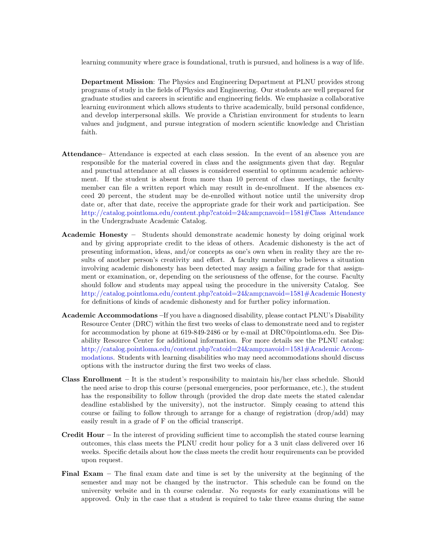learning community where grace is foundational, truth is pursued, and holiness is a way of life.

Department Mission: The Physics and Engineering Department at PLNU provides strong programs of study in the fields of Physics and Engineering. Our students are well prepared for graduate studies and careers in scientific and engineering fields. We emphasize a collaborative learning environment which allows students to thrive academically, build personal confidence, and develop interpersonal skills. We provide a Christian environment for students to learn values and judgment, and pursue integration of modern scientific knowledge and Christian faith.

- Attendance– Attendance is expected at each class session. In the event of an absence you are responsible for the material covered in class and the assignments given that day. Regular and punctual attendance at all classes is considered essential to optimum academic achievement. If the student is absent from more than 10 percent of class meetings, the faculty member can file a written report which may result in de-enrollment. If the absences exceed 20 percent, the student may be de-enrolled without notice until the university drop date or, after that date, receive the appropriate grade for their work and participation. See [http://catalog.pointloma.edu/content.php?catoid=24&navoid=1581#Class Attendance](http://catalog.pointloma.edu/content.php?catoid=24&navoid=1581) in the Undergraduate Academic Catalog.
- Academic Honesty Students should demonstrate academic honesty by doing original work and by giving appropriate credit to the ideas of others. Academic dishonesty is the act of presenting information, ideas, and/or concepts as one's own when in reality they are the results of another person's creativity and effort. A faculty member who believes a situation involving academic dishonesty has been detected may assign a failing grade for that assignment or examination, or, depending on the seriousness of the offense, for the course. Faculty should follow and students may appeal using the procedure in the university Catalog. See [http://catalog.pointloma.edu/content.php?catoid=24&navoid=1581#Academic Honesty](http://catalog.pointloma.edu/content.php?catoid=24&navoid=1581) for definitions of kinds of academic dishonesty and for further policy information.
- Academic Accommodations –If you have a diagnosed disability, please contact PLNU's Disability Resource Center (DRC) within the first two weeks of class to demonstrate need and to register for accommodation by phone at 619-849-2486 or by e-mail at DRC@pointloma.edu. See Disability Resource Center for additional information. For more details see the PLNU catalog: [http://catalog.pointloma.edu/content.php?catoid=24&navoid=1581#Academic Accom](http://catalog.pointloma.edu/content.php?catoid=24&navoid=1581)[modations.](http://catalog.pointloma.edu/content.php?catoid=24&navoid=1581) Students with learning disabilities who may need accommodations should discuss options with the instructor during the first two weeks of class.
- **Class Enrollment** It is the student's responsibility to maintain his/her class schedule. Should the need arise to drop this course (personal emergencies, poor performance, etc.), the student has the responsibility to follow through (provided the drop date meets the stated calendar deadline established by the university), not the instructor. Simply ceasing to attend this course or failing to follow through to arrange for a change of registration (drop/add) may easily result in a grade of F on the official transcript.
- **Credit Hour** In the interest of providing sufficient time to accomplish the stated course learning outcomes, this class meets the PLNU credit hour policy for a 3 unit class delivered over 16 weeks. Specific details about how the class meets the credit hour requirements can be provided upon request.
- Final Exam The final exam date and time is set by the university at the beginning of the semester and may not be changed by the instructor. This schedule can be found on the university website and in th course calendar. No requests for early examinations will be approved. Only in the case that a student is required to take three exams during the same